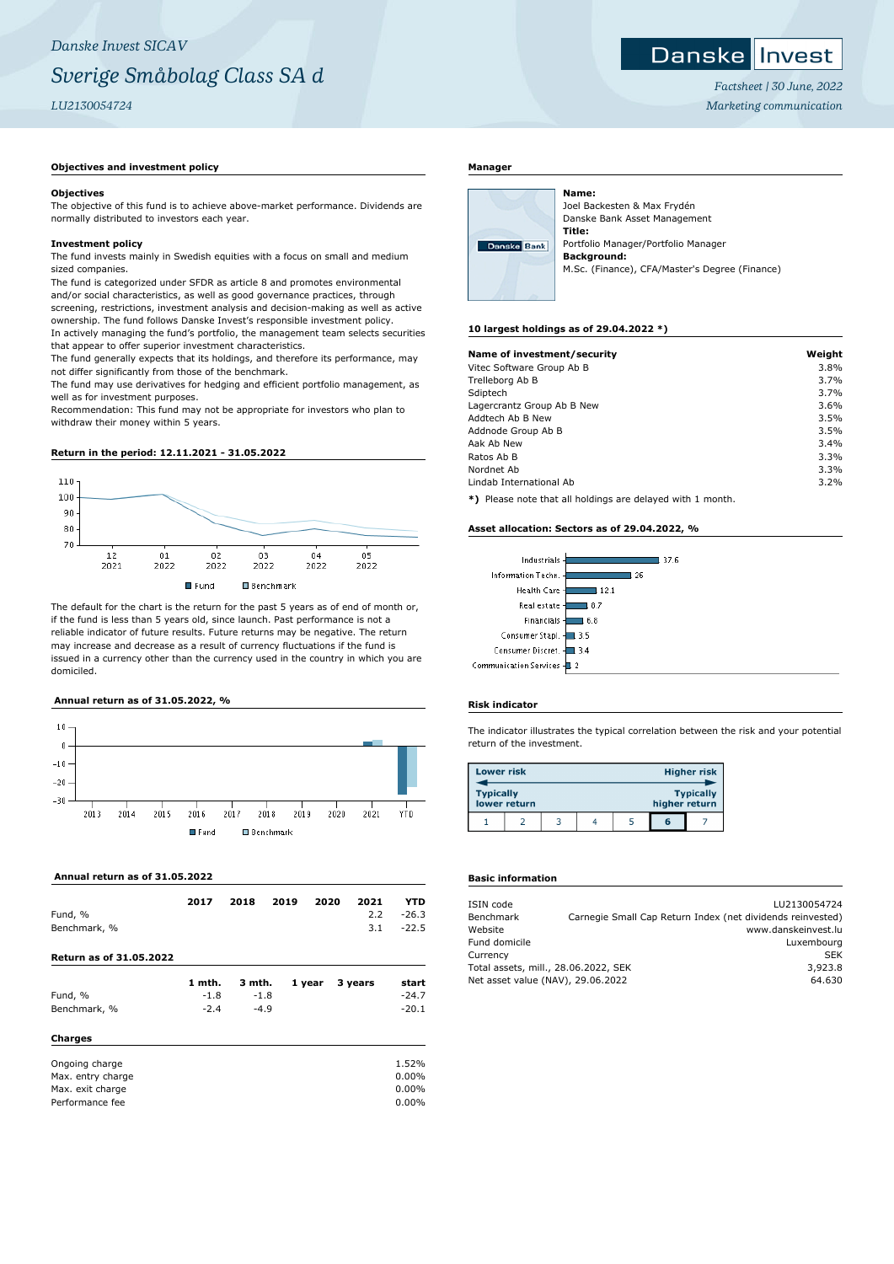#### ${\sf Danske}$ Invest

*Factsheet | 30 June, 2022 Marketing communication*

## **Objectives and investment policy**

#### **Objectives**

The objective of this fund is to achieve above-market performance. Dividends are normally distributed to investors each year.

## **Investment policy**

The fund invests mainly in Swedish equities with a focus on small and medium sized companies.

The fund is categorized under SFDR as article 8 and promotes environmental and/or social characteristics, as well as good governance practices, through screening, restrictions, investment analysis and decision-making as well as active ownership. The fund follows Danske Invest's responsible investment policy. In actively managing the fund's portfolio, the management team selects securities that appear to offer superior investment characteristics.

The fund generally expects that its holdings, and therefore its performance, may not differ significantly from those of the benchmark.

The fund may use derivatives for hedging and efficient portfolio management, as well as for investment purposes.

Recommendation: This fund may not be appropriate for investors who plan to withdraw their money within 5 years.

## **Return in the period: 12.11.2021 - 31.05.2022**



The default for the chart is the return for the past 5 years as of end of month or, if the fund is less than 5 years old, since launch. Past performance is not a reliable indicator of future results. Future returns may be negative. The return may increase and decrease as a result of currency fluctuations if the fund is issued in a currency other than the currency used in the country in which you are domiciled.

#### **Annual return as of 31.05.2022, %**



## **Annual return as of 31.05.2022**

| Fund, %<br>Benchmark, %        | 2017   | 2018   | 2019 | 2020   | 2021<br>2.2<br>3.1 | YTD<br>$-26.3$<br>$-22.5$ |
|--------------------------------|--------|--------|------|--------|--------------------|---------------------------|
| <b>Return as of 31.05.2022</b> |        |        |      |        |                    |                           |
|                                | 1 mth. | 3 mth. |      | 1 year | 3 years            | start                     |
| Fund, %                        | $-1.8$ | $-1.8$ |      |        |                    | $-24.7$                   |
| Benchmark, %                   | $-2.4$ | $-4.9$ |      |        |                    | $-20.1$                   |
| <b>Charges</b>                 |        |        |      |        |                    |                           |
| Ongoing charge                 |        |        |      |        |                    | 1.52%                     |
| Max. entry charge              |        |        |      |        |                    | $0.00\%$                  |
| Max. exit charge               |        |        |      |        |                    | $0.00\%$                  |
| Performance fee                |        |        |      |        |                    | $0.00\%$                  |

## **Manager**



Joel Backesten & Max Frydén Danske Bank Asset Management **Title:** Portfolio Manager/Portfolio Manager **Background:** M.Sc. (Finance), CFA/Master's Degree (Finance)

#### **10 largest holdings as of 29.04.2022 \*)**

**Name:**

| Name of investment/security | Weight |
|-----------------------------|--------|
| Vitec Software Group Ab B   | 3.8%   |
| Trelleborg Ab B             | 3.7%   |
| Sdiptech                    | 3.7%   |
| Lagercrantz Group Ab B New  | 3.6%   |
| Addtech Ab B New            | 3.5%   |
| Addnode Group Ab B          | 3.5%   |
| Aak Ab New                  | 3.4%   |
| Ratos Ab B                  | 3.3%   |
| Nordnet Ab                  | 3.3%   |
| Lindab International Ab     | 3.2%   |

**\*)** Please note that all holdings are delayed with 1 month.

#### **Asset allocation: Sectors as of 29.04.2022, %**



## **Risk indicator**

The indicator illustrates the typical correlation between the risk and your potential return of the investment.

| <b>Lower risk</b> |              |  |               | <b>Higher risk</b> |
|-------------------|--------------|--|---------------|--------------------|
| <b>Typically</b>  | lower return |  | higher return | <b>Typically</b>   |
|                   |              |  | G             |                    |

## **Basic information**

| ISIN code                            |                                                            | LU2130054724        |
|--------------------------------------|------------------------------------------------------------|---------------------|
| Benchmark                            | Carnegie Small Cap Return Index (net dividends reinvested) |                     |
| Website                              |                                                            | www.danskeinvest.lu |
| Fund domicile                        |                                                            | Luxembourg          |
| Currency                             |                                                            | <b>SEK</b>          |
| Total assets, mill., 28.06.2022, SEK |                                                            | 3,923.8             |
| Net asset value (NAV), 29.06.2022    |                                                            | 64.630              |
|                                      |                                                            |                     |